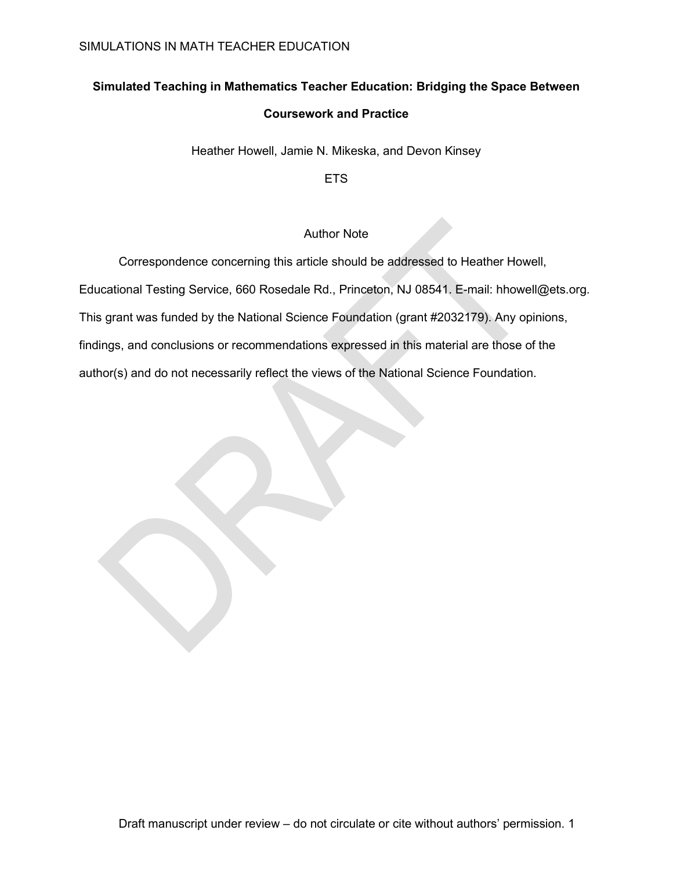## **Simulated Teaching in Mathematics Teacher Education: Bridging the Space Between**

## **Coursework and Practice**

Heather Howell, Jamie N. Mikeska, and Devon Kinsey

ETS

## Author Note

Correspondence concerning this article should be addressed to Heather Howell,

Educational Testing Service, 660 Rosedale Rd., Princeton, NJ 08541. E-mail: hhowell@ets.org.

This grant was funded by the National Science Foundation (grant #2032179). Any opinions,

findings, and conclusions or recommendations expressed in this material are those of the

author(s) and do not necessarily reflect the views of the National Science Foundation.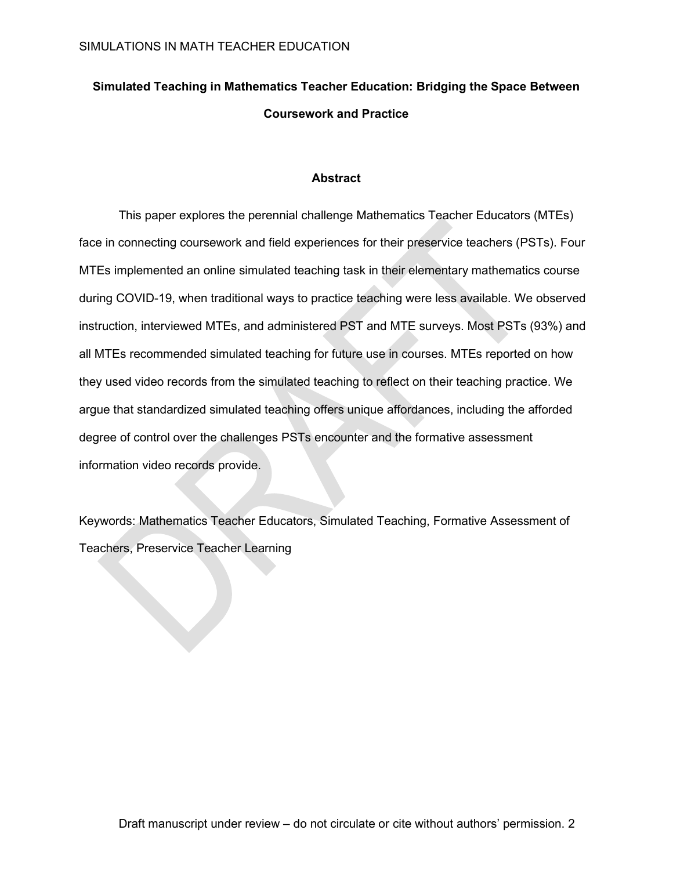# **Simulated Teaching in Mathematics Teacher Education: Bridging the Space Between Coursework and Practice**

## **Abstract**

This paper explores the perennial challenge Mathematics Teacher Educators (MTEs) face in connecting coursework and field experiences for their preservice teachers (PSTs). Four MTEs implemented an online simulated teaching task in their elementary mathematics course during COVID-19, when traditional ways to practice teaching were less available. We observed instruction, interviewed MTEs, and administered PST and MTE surveys. Most PSTs (93%) and all MTEs recommended simulated teaching for future use in courses. MTEs reported on how they used video records from the simulated teaching to reflect on their teaching practice. We argue that standardized simulated teaching offers unique affordances, including the afforded degree of control over the challenges PSTs encounter and the formative assessment information video records provide.

Keywords: Mathematics Teacher Educators, Simulated Teaching, Formative Assessment of Teachers, Preservice Teacher Learning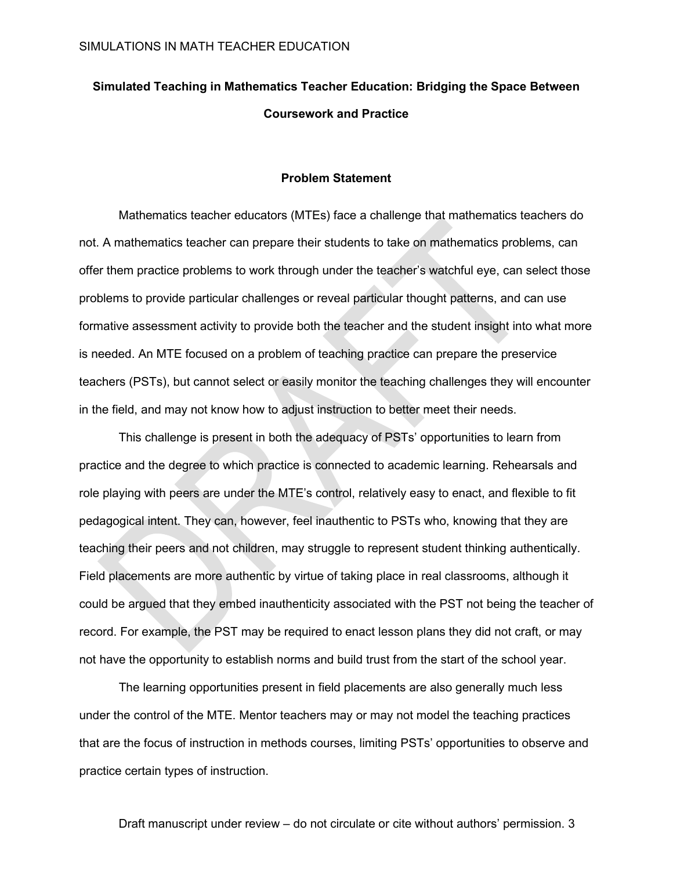# **Simulated Teaching in Mathematics Teacher Education: Bridging the Space Between Coursework and Practice**

#### **Problem Statement**

Mathematics teacher educators (MTEs) face a challenge that mathematics teachers do not. A mathematics teacher can prepare their students to take on mathematics problems, can offer them practice problems to work through under the teacher's watchful eye, can select those problems to provide particular challenges or reveal particular thought patterns, and can use formative assessment activity to provide both the teacher and the student insight into what more is needed. An MTE focused on a problem of teaching practice can prepare the preservice teachers (PSTs), but cannot select or easily monitor the teaching challenges they will encounter in the field, and may not know how to adjust instruction to better meet their needs.

This challenge is present in both the adequacy of PSTs' opportunities to learn from practice and the degree to which practice is connected to academic learning. Rehearsals and role playing with peers are under the MTE's control, relatively easy to enact, and flexible to fit pedagogical intent. They can, however, feel inauthentic to PSTs who, knowing that they are teaching their peers and not children, may struggle to represent student thinking authentically. Field placements are more authentic by virtue of taking place in real classrooms, although it could be argued that they embed inauthenticity associated with the PST not being the teacher of record. For example, the PST may be required to enact lesson plans they did not craft, or may not have the opportunity to establish norms and build trust from the start of the school year.

The learning opportunities present in field placements are also generally much less under the control of the MTE. Mentor teachers may or may not model the teaching practices that are the focus of instruction in methods courses, limiting PSTs' opportunities to observe and practice certain types of instruction.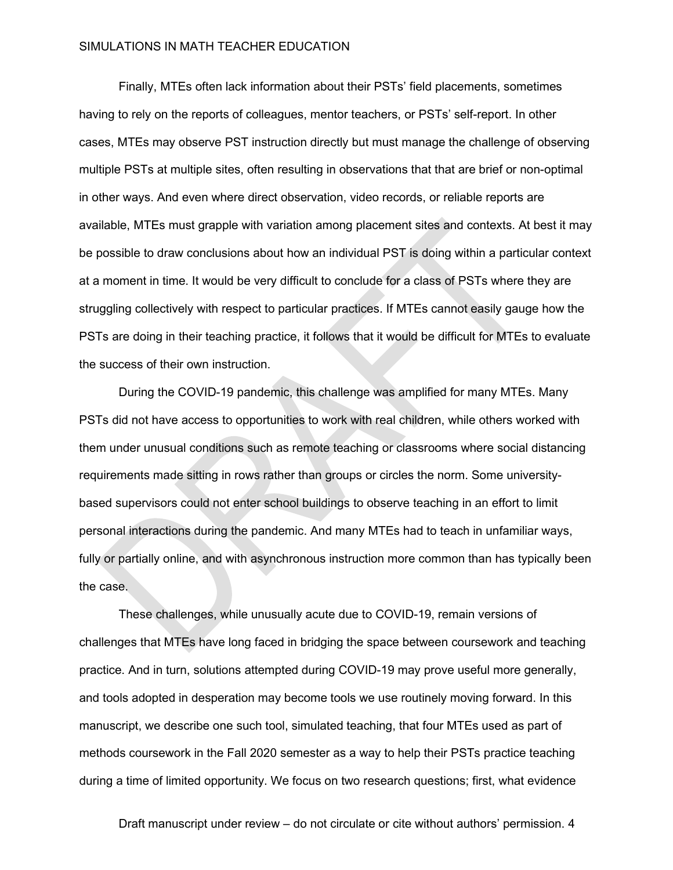Finally, MTEs often lack information about their PSTs' field placements, sometimes having to rely on the reports of colleagues, mentor teachers, or PSTs' self-report. In other cases, MTEs may observe PST instruction directly but must manage the challenge of observing multiple PSTs at multiple sites, often resulting in observations that that are brief or non-optimal in other ways. And even where direct observation, video records, or reliable reports are available, MTEs must grapple with variation among placement sites and contexts. At best it may be possible to draw conclusions about how an individual PST is doing within a particular context at a moment in time. It would be very difficult to conclude for a class of PSTs where they are struggling collectively with respect to particular practices. If MTEs cannot easily gauge how the PSTs are doing in their teaching practice, it follows that it would be difficult for MTEs to evaluate the success of their own instruction.

During the COVID-19 pandemic, this challenge was amplified for many MTEs. Many PSTs did not have access to opportunities to work with real children, while others worked with them under unusual conditions such as remote teaching or classrooms where social distancing requirements made sitting in rows rather than groups or circles the norm. Some universitybased supervisors could not enter school buildings to observe teaching in an effort to limit personal interactions during the pandemic. And many MTEs had to teach in unfamiliar ways, fully or partially online, and with asynchronous instruction more common than has typically been the case.

These challenges, while unusually acute due to COVID-19, remain versions of challenges that MTEs have long faced in bridging the space between coursework and teaching practice. And in turn, solutions attempted during COVID-19 may prove useful more generally, and tools adopted in desperation may become tools we use routinely moving forward. In this manuscript, we describe one such tool, simulated teaching, that four MTEs used as part of methods coursework in the Fall 2020 semester as a way to help their PSTs practice teaching during a time of limited opportunity. We focus on two research questions; first, what evidence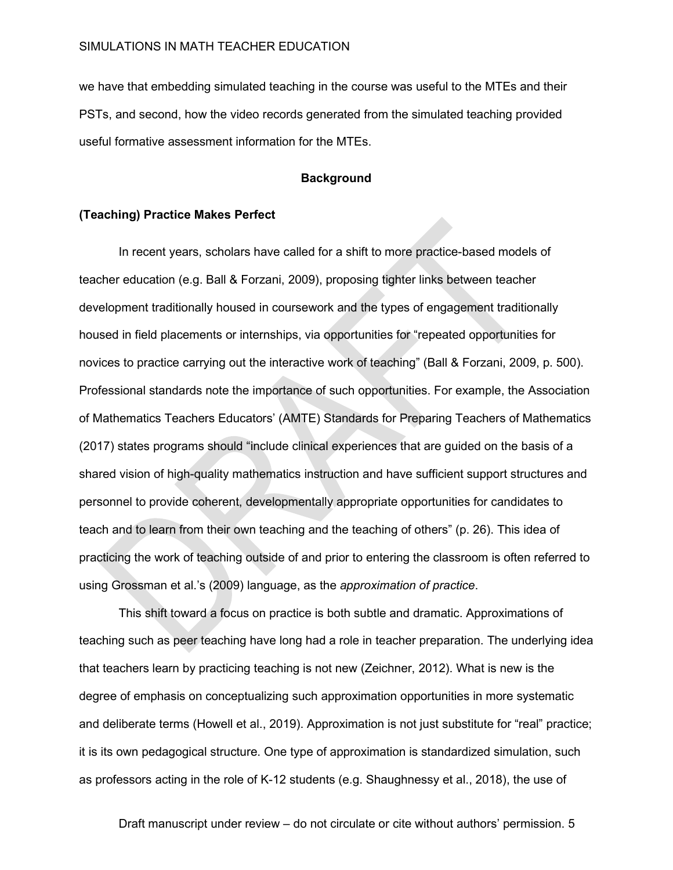we have that embedding simulated teaching in the course was useful to the MTEs and their PSTs, and second, how the video records generated from the simulated teaching provided useful formative assessment information for the MTEs.

## **Background**

#### **(Teaching) Practice Makes Perfect**

In recent years, scholars have called for a shift to more practice-based models of teacher education (e.g. Ball & Forzani, 2009), proposing tighter links between teacher development traditionally housed in coursework and the types of engagement traditionally housed in field placements or internships, via opportunities for "repeated opportunities for novices to practice carrying out the interactive work of teaching" (Ball & Forzani, 2009, p. 500). Professional standards note the importance of such opportunities. For example, the Association of Mathematics Teachers Educators' (AMTE) Standards for Preparing Teachers of Mathematics (2017) states programs should "include clinical experiences that are guided on the basis of a shared vision of high-quality mathematics instruction and have sufficient support structures and personnel to provide coherent, developmentally appropriate opportunities for candidates to teach and to learn from their own teaching and the teaching of others" (p. 26). This idea of practicing the work of teaching outside of and prior to entering the classroom is often referred to using Grossman et al.'s (2009) language, as the *approximation of practice*.

This shift toward a focus on practice is both subtle and dramatic. Approximations of teaching such as peer teaching have long had a role in teacher preparation. The underlying idea that teachers learn by practicing teaching is not new (Zeichner, 2012). What is new is the degree of emphasis on conceptualizing such approximation opportunities in more systematic and deliberate terms (Howell et al., 2019). Approximation is not just substitute for "real" practice; it is its own pedagogical structure. One type of approximation is standardized simulation, such as professors acting in the role of K-12 students (e.g. Shaughnessy et al., 2018), the use of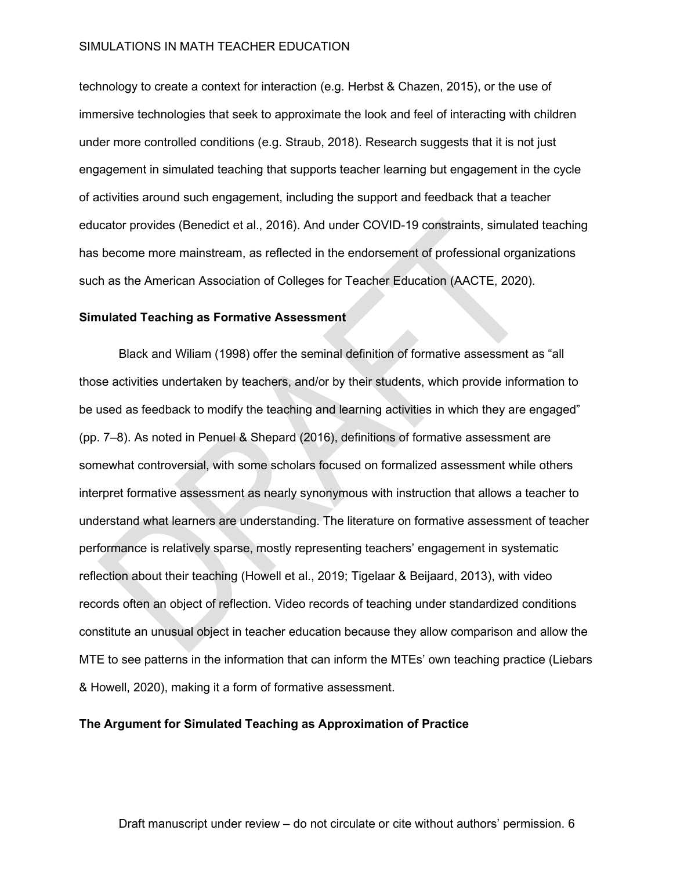technology to create a context for interaction (e.g. Herbst & Chazen, 2015), or the use of immersive technologies that seek to approximate the look and feel of interacting with children under more controlled conditions (e.g. Straub, 2018). Research suggests that it is not just engagement in simulated teaching that supports teacher learning but engagement in the cycle of activities around such engagement, including the support and feedback that a teacher educator provides (Benedict et al., 2016). And under COVID-19 constraints, simulated teaching has become more mainstream, as reflected in the endorsement of professional organizations such as the American Association of Colleges for Teacher Education (AACTE, 2020).

#### **Simulated Teaching as Formative Assessment**

Black and Wiliam (1998) offer the seminal definition of formative assessment as "all those activities undertaken by teachers, and/or by their students, which provide information to be used as feedback to modify the teaching and learning activities in which they are engaged" (pp. 7–8). As noted in Penuel & Shepard (2016), definitions of formative assessment are somewhat controversial, with some scholars focused on formalized assessment while others interpret formative assessment as nearly synonymous with instruction that allows a teacher to understand what learners are understanding. The literature on formative assessment of teacher performance is relatively sparse, mostly representing teachers' engagement in systematic reflection about their teaching (Howell et al., 2019; Tigelaar & Beijaard, 2013), with video records often an object of reflection. Video records of teaching under standardized conditions constitute an unusual object in teacher education because they allow comparison and allow the MTE to see patterns in the information that can inform the MTEs' own teaching practice (Liebars & Howell, 2020), making it a form of formative assessment.

## **The Argument for Simulated Teaching as Approximation of Practice**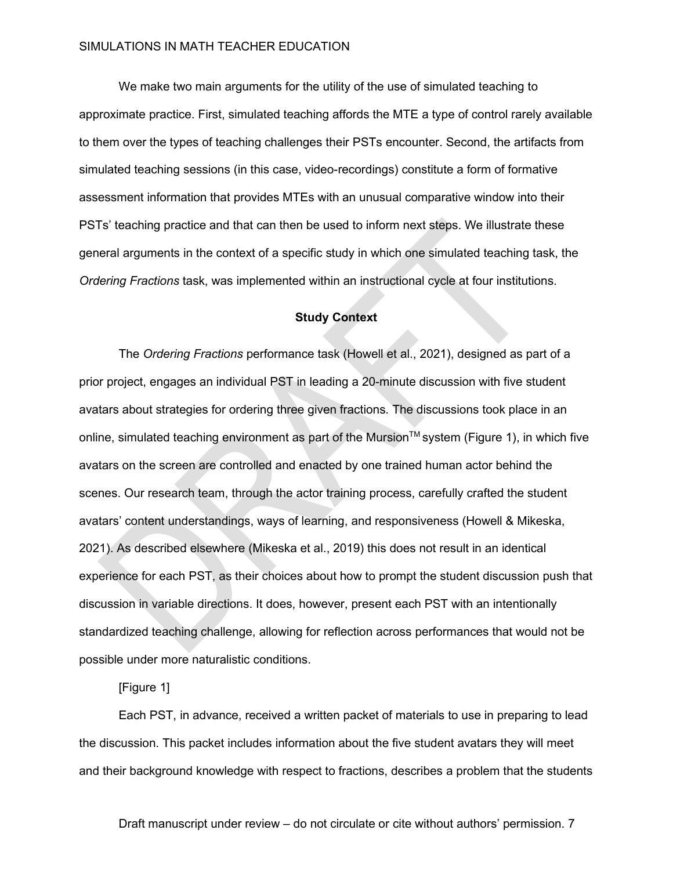We make two main arguments for the utility of the use of simulated teaching to approximate practice. First, simulated teaching affords the MTE a type of control rarely available to them over the types of teaching challenges their PSTs encounter. Second, the artifacts from simulated teaching sessions (in this case, video-recordings) constitute a form of formative assessment information that provides MTEs with an unusual comparative window into their PSTs' teaching practice and that can then be used to inform next steps. We illustrate these general arguments in the context of a specific study in which one simulated teaching task, the *Ordering Fractions* task, was implemented within an instructional cycle at four institutions.

### **Study Context**

The *Ordering Fractions* performance task (Howell et al., 2021), designed as part of a prior project, engages an individual PST in leading a 20-minute discussion with five student avatars about strategies for ordering three given fractions. The discussions took place in an online, simulated teaching environment as part of the Mursion™ system (Figure 1), in which five avatars on the screen are controlled and enacted by one trained human actor behind the scenes. Our research team, through the actor training process, carefully crafted the student avatars' content understandings, ways of learning, and responsiveness (Howell & Mikeska, 2021). As described elsewhere (Mikeska et al., 2019) this does not result in an identical experience for each PST, as their choices about how to prompt the student discussion push that discussion in variable directions. It does, however, present each PST with an intentionally standardized teaching challenge, allowing for reflection across performances that would not be possible under more naturalistic conditions.

[Figure 1]

Each PST, in advance, received a written packet of materials to use in preparing to lead the discussion. This packet includes information about the five student avatars they will meet and their background knowledge with respect to fractions, describes a problem that the students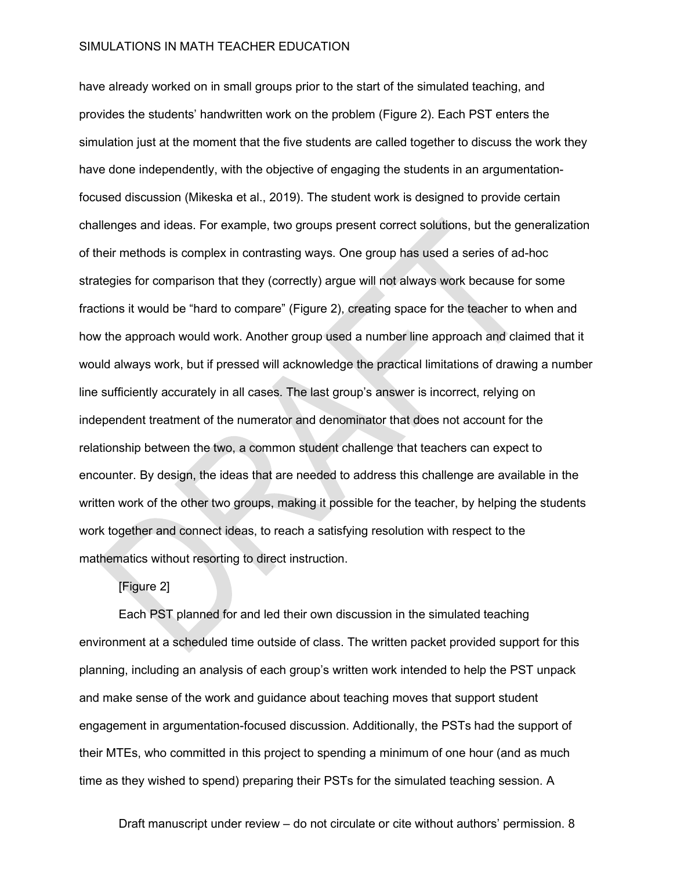have already worked on in small groups prior to the start of the simulated teaching, and provides the students' handwritten work on the problem (Figure 2). Each PST enters the simulation just at the moment that the five students are called together to discuss the work they have done independently, with the objective of engaging the students in an argumentationfocused discussion (Mikeska et al., 2019). The student work is designed to provide certain challenges and ideas. For example, two groups present correct solutions, but the generalization of their methods is complex in contrasting ways. One group has used a series of ad-hoc strategies for comparison that they (correctly) argue will not always work because for some fractions it would be "hard to compare" (Figure 2), creating space for the teacher to when and how the approach would work. Another group used a number line approach and claimed that it would always work, but if pressed will acknowledge the practical limitations of drawing a number line sufficiently accurately in all cases. The last group's answer is incorrect, relying on independent treatment of the numerator and denominator that does not account for the relationship between the two, a common student challenge that teachers can expect to encounter. By design, the ideas that are needed to address this challenge are available in the written work of the other two groups, making it possible for the teacher, by helping the students work together and connect ideas, to reach a satisfying resolution with respect to the mathematics without resorting to direct instruction.

# [Figure 2]

Each PST planned for and led their own discussion in the simulated teaching environment at a scheduled time outside of class. The written packet provided support for this planning, including an analysis of each group's written work intended to help the PST unpack and make sense of the work and guidance about teaching moves that support student engagement in argumentation-focused discussion. Additionally, the PSTs had the support of their MTEs, who committed in this project to spending a minimum of one hour (and as much time as they wished to spend) preparing their PSTs for the simulated teaching session. A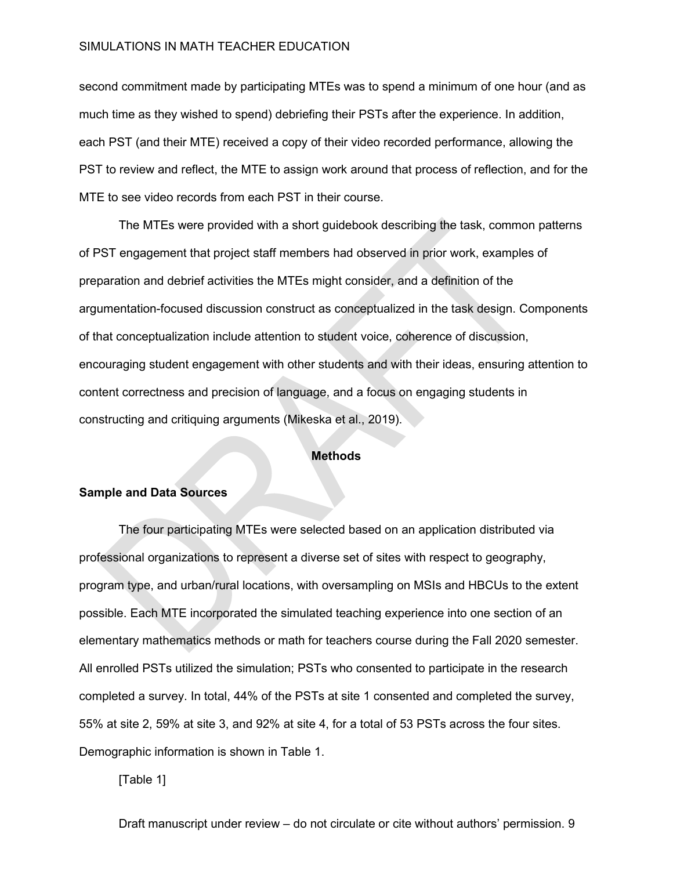second commitment made by participating MTEs was to spend a minimum of one hour (and as much time as they wished to spend) debriefing their PSTs after the experience. In addition, each PST (and their MTE) received a copy of their video recorded performance, allowing the PST to review and reflect, the MTE to assign work around that process of reflection, and for the MTE to see video records from each PST in their course.

The MTEs were provided with a short guidebook describing the task, common patterns of PST engagement that project staff members had observed in prior work, examples of preparation and debrief activities the MTEs might consider, and a definition of the argumentation-focused discussion construct as conceptualized in the task design. Components of that conceptualization include attention to student voice, coherence of discussion, encouraging student engagement with other students and with their ideas, ensuring attention to content correctness and precision of language, and a focus on engaging students in constructing and critiquing arguments (Mikeska et al., 2019).

### **Methods**

#### **Sample and Data Sources**

The four participating MTEs were selected based on an application distributed via professional organizations to represent a diverse set of sites with respect to geography, program type, and urban/rural locations, with oversampling on MSIs and HBCUs to the extent possible. Each MTE incorporated the simulated teaching experience into one section of an elementary mathematics methods or math for teachers course during the Fall 2020 semester. All enrolled PSTs utilized the simulation; PSTs who consented to participate in the research completed a survey. In total, 44% of the PSTs at site 1 consented and completed the survey, 55% at site 2, 59% at site 3, and 92% at site 4, for a total of 53 PSTs across the four sites. Demographic information is shown in Table 1.

[Table 1]

Draft manuscript under review – do not circulate or cite without authors' permission. 9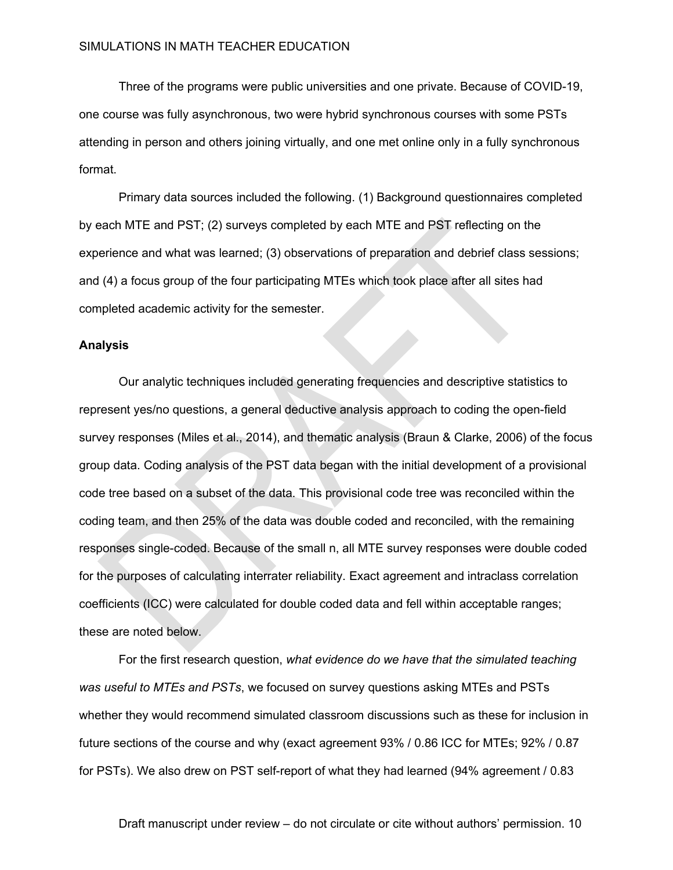Three of the programs were public universities and one private. Because of COVID-19, one course was fully asynchronous, two were hybrid synchronous courses with some PSTs attending in person and others joining virtually, and one met online only in a fully synchronous format.

Primary data sources included the following. (1) Background questionnaires completed by each MTE and PST; (2) surveys completed by each MTE and PST reflecting on the experience and what was learned; (3) observations of preparation and debrief class sessions; and (4) a focus group of the four participating MTEs which took place after all sites had completed academic activity for the semester.

### **Analysis**

Our analytic techniques included generating frequencies and descriptive statistics to represent yes/no questions, a general deductive analysis approach to coding the open-field survey responses (Miles et al., 2014), and thematic analysis (Braun & Clarke, 2006) of the focus group data. Coding analysis of the PST data began with the initial development of a provisional code tree based on a subset of the data. This provisional code tree was reconciled within the coding team, and then 25% of the data was double coded and reconciled, with the remaining responses single-coded. Because of the small n, all MTE survey responses were double coded for the purposes of calculating interrater reliability. Exact agreement and intraclass correlation coefficients (ICC) were calculated for double coded data and fell within acceptable ranges; these are noted below.

For the first research question, *what evidence do we have that the simulated teaching was useful to MTEs and PSTs*, we focused on survey questions asking MTEs and PSTs whether they would recommend simulated classroom discussions such as these for inclusion in future sections of the course and why (exact agreement 93% / 0.86 ICC for MTEs; 92% / 0.87 for PSTs). We also drew on PST self-report of what they had learned (94% agreement / 0.83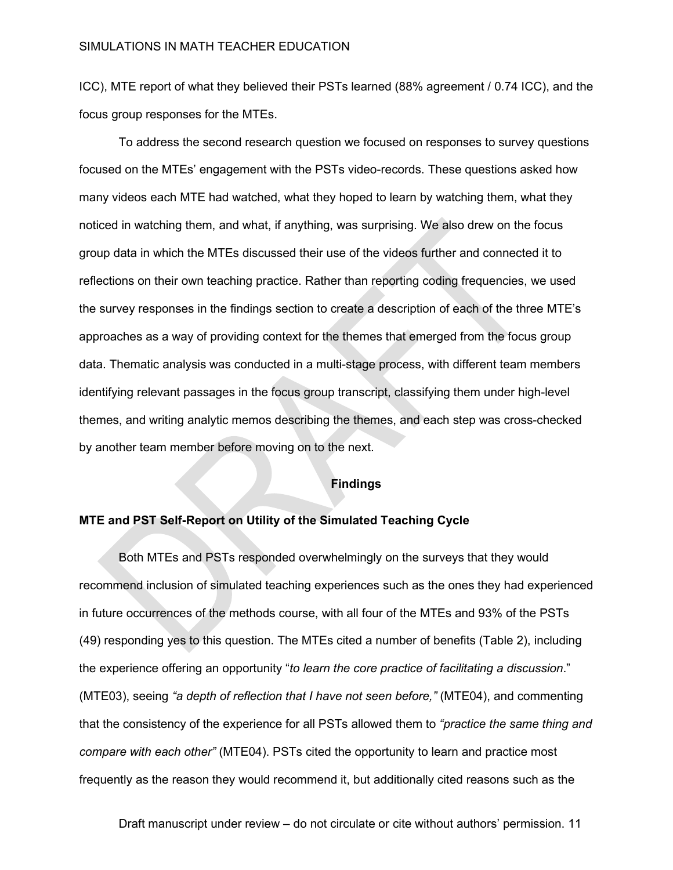ICC), MTE report of what they believed their PSTs learned (88% agreement / 0.74 ICC), and the focus group responses for the MTEs.

To address the second research question we focused on responses to survey questions focused on the MTEs' engagement with the PSTs video-records. These questions asked how many videos each MTE had watched, what they hoped to learn by watching them, what they noticed in watching them, and what, if anything, was surprising. We also drew on the focus group data in which the MTEs discussed their use of the videos further and connected it to reflections on their own teaching practice. Rather than reporting coding frequencies, we used the survey responses in the findings section to create a description of each of the three MTE's approaches as a way of providing context for the themes that emerged from the focus group data. Thematic analysis was conducted in a multi-stage process, with different team members identifying relevant passages in the focus group transcript, classifying them under high-level themes, and writing analytic memos describing the themes, and each step was cross-checked by another team member before moving on to the next.

### **Findings**

## **MTE and PST Self-Report on Utility of the Simulated Teaching Cycle**

Both MTEs and PSTs responded overwhelmingly on the surveys that they would recommend inclusion of simulated teaching experiences such as the ones they had experienced in future occurrences of the methods course, with all four of the MTEs and 93% of the PSTs (49) responding yes to this question. The MTEs cited a number of benefits (Table 2), including the experience offering an opportunity "*to learn the core practice of facilitating a discussion*." (MTE03), seeing *"a depth of reflection that I have not seen before,"* (MTE04), and commenting that the consistency of the experience for all PSTs allowed them to *"practice the same thing and compare with each other"* (MTE04). PSTs cited the opportunity to learn and practice most frequently as the reason they would recommend it, but additionally cited reasons such as the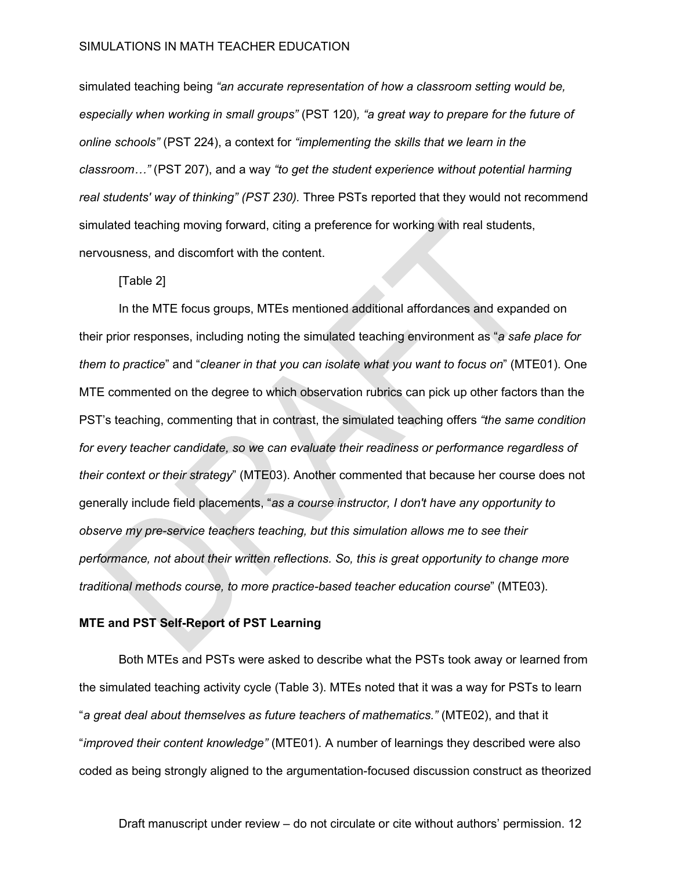simulated teaching being *"an accurate representation of how a classroom setting would be, especially when working in small groups"* (PST 120)*, "a great way to prepare for the future of online schools"* (PST 224), a context for *"implementing the skills that we learn in the classroom…"* (PST 207), and a way *"to get the student experience without potential harming real students' way of thinking" (PST 230).* Three PSTs reported that they would not recommend simulated teaching moving forward, citing a preference for working with real students, nervousness, and discomfort with the content.

[Table 2]

In the MTE focus groups, MTEs mentioned additional affordances and expanded on their prior responses, including noting the simulated teaching environment as "*a safe place for them to practice*" and "*cleaner in that you can isolate what you want to focus on*" (MTE01). One MTE commented on the degree to which observation rubrics can pick up other factors than the PST's teaching, commenting that in contrast, the simulated teaching offers *"the same condition for every teacher candidate, so we can evaluate their readiness or performance regardless of their context or their strategy*" (MTE03). Another commented that because her course does not generally include field placements, "*as a course instructor, I don't have any opportunity to observe my pre-service teachers teaching, but this simulation allows me to see their performance, not about their written reflections. So, this is great opportunity to change more traditional methods course, to more practice-based teacher education course*" (MTE03).

### **MTE and PST Self-Report of PST Learning**

Both MTEs and PSTs were asked to describe what the PSTs took away or learned from the simulated teaching activity cycle (Table 3). MTEs noted that it was a way for PSTs to learn "*a great deal about themselves as future teachers of mathematics."* (MTE02), and that it "*improved their content knowledge"* (MTE01). A number of learnings they described were also coded as being strongly aligned to the argumentation-focused discussion construct as theorized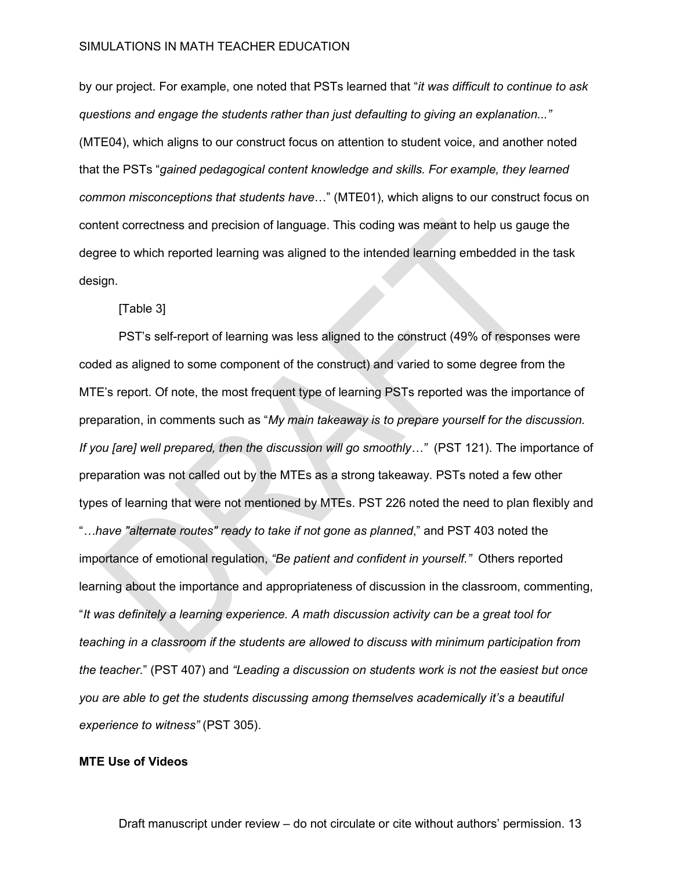by our project. For example, one noted that PSTs learned that "*it was difficult to continue to ask questions and engage the students rather than just defaulting to giving an explanation..."* (MTE04), which aligns to our construct focus on attention to student voice, and another noted that the PSTs "*gained pedagogical content knowledge and skills. For example, they learned common misconceptions that students have*…" (MTE01), which aligns to our construct focus on content correctness and precision of language. This coding was meant to help us gauge the degree to which reported learning was aligned to the intended learning embedded in the task design.

[Table 3]

PST's self-report of learning was less aligned to the construct (49% of responses were coded as aligned to some component of the construct) and varied to some degree from the MTE's report. Of note, the most frequent type of learning PSTs reported was the importance of preparation, in comments such as "*My main takeaway is to prepare yourself for the discussion. If you [are] well prepared, then the discussion will go smoothly…"* (PST 121). The importance of preparation was not called out by the MTEs as a strong takeaway. PSTs noted a few other types of learning that were not mentioned by MTEs. PST 226 noted the need to plan flexibly and "*…have "alternate routes" ready to take if not gone as planned*," and PST 403 noted the importance of emotional regulation, *"Be patient and confident in yourself."* Others reported learning about the importance and appropriateness of discussion in the classroom, commenting, "*It was definitely a learning experience. A math discussion activity can be a great tool for teaching in a classroom if the students are allowed to discuss with minimum participation from the teacher*." (PST 407) and *"Leading a discussion on students work is not the easiest but once you are able to get the students discussing among themselves academically it's a beautiful experience to witness"* (PST 305).

## **MTE Use of Videos**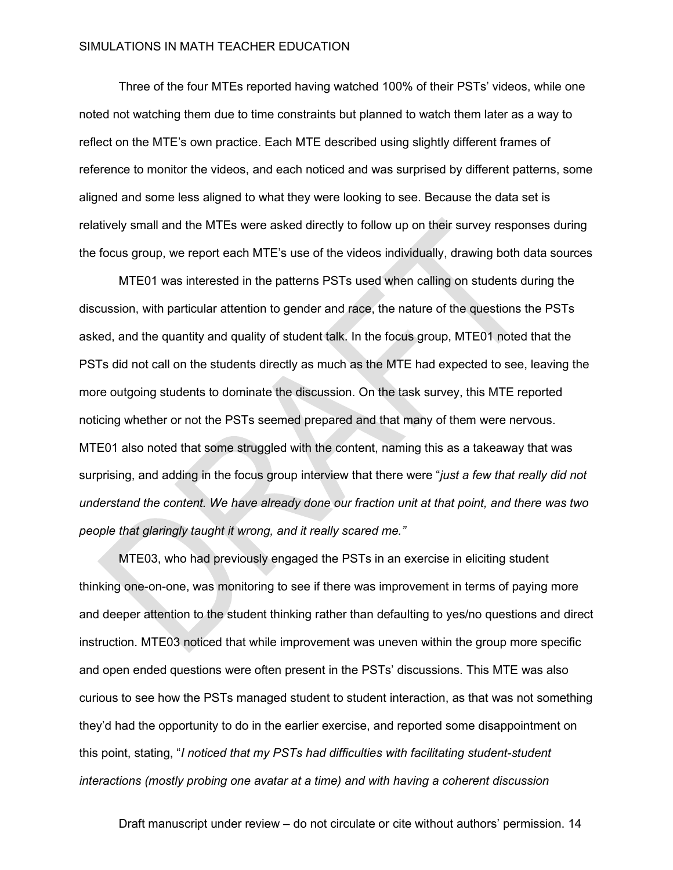Three of the four MTEs reported having watched 100% of their PSTs' videos, while one noted not watching them due to time constraints but planned to watch them later as a way to reflect on the MTE's own practice. Each MTE described using slightly different frames of reference to monitor the videos, and each noticed and was surprised by different patterns, some aligned and some less aligned to what they were looking to see. Because the data set is relatively small and the MTEs were asked directly to follow up on their survey responses during the focus group, we report each MTE's use of the videos individually, drawing both data sources

MTE01 was interested in the patterns PSTs used when calling on students during the discussion, with particular attention to gender and race, the nature of the questions the PSTs asked, and the quantity and quality of student talk. In the focus group, MTE01 noted that the PSTs did not call on the students directly as much as the MTE had expected to see, leaving the more outgoing students to dominate the discussion. On the task survey, this MTE reported noticing whether or not the PSTs seemed prepared and that many of them were nervous. MTE01 also noted that some struggled with the content, naming this as a takeaway that was surprising, and adding in the focus group interview that there were "*just a few that really did not understand the content. We have already done our fraction unit at that point, and there was two people that glaringly taught it wrong, and it really scared me."*

MTE03, who had previously engaged the PSTs in an exercise in eliciting student thinking one-on-one, was monitoring to see if there was improvement in terms of paying more and deeper attention to the student thinking rather than defaulting to yes/no questions and direct instruction. MTE03 noticed that while improvement was uneven within the group more specific and open ended questions were often present in the PSTs' discussions. This MTE was also curious to see how the PSTs managed student to student interaction, as that was not something they'd had the opportunity to do in the earlier exercise, and reported some disappointment on this point, stating, "*I noticed that my PSTs had difficulties with facilitating student-student interactions (mostly probing one avatar at a time) and with having a coherent discussion*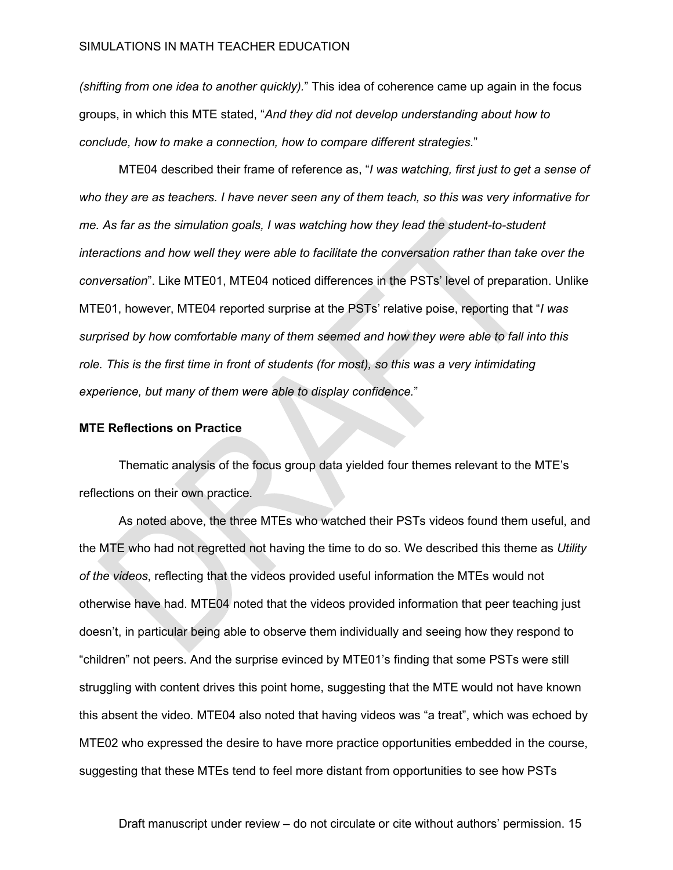*(shifting from one idea to another quickly).*" This idea of coherence came up again in the focus groups, in which this MTE stated, "*And they did not develop understanding about how to conclude, how to make a connection, how to compare different strategies.*"

MTE04 described their frame of reference as, "*I was watching, first just to get a sense of who they are as teachers. I have never seen any of them teach, so this was very informative for me. As far as the simulation goals, I was watching how they lead the student-to-student interactions and how well they were able to facilitate the conversation rather than take over the conversation*". Like MTE01, MTE04 noticed differences in the PSTs' level of preparation. Unlike MTE01, however, MTE04 reported surprise at the PSTs' relative poise, reporting that "*I was surprised by how comfortable many of them seemed and how they were able to fall into this role. This is the first time in front of students (for most), so this was a very intimidating experience, but many of them were able to display confidence.*"

### **MTE Reflections on Practice**

Thematic analysis of the focus group data yielded four themes relevant to the MTE's reflections on their own practice.

As noted above, the three MTEs who watched their PSTs videos found them useful, and the MTE who had not regretted not having the time to do so. We described this theme as *Utility of the videos*, reflecting that the videos provided useful information the MTEs would not otherwise have had. MTE04 noted that the videos provided information that peer teaching just doesn't, in particular being able to observe them individually and seeing how they respond to "children" not peers. And the surprise evinced by MTE01's finding that some PSTs were still struggling with content drives this point home, suggesting that the MTE would not have known this absent the video. MTE04 also noted that having videos was "a treat", which was echoed by MTE02 who expressed the desire to have more practice opportunities embedded in the course, suggesting that these MTEs tend to feel more distant from opportunities to see how PSTs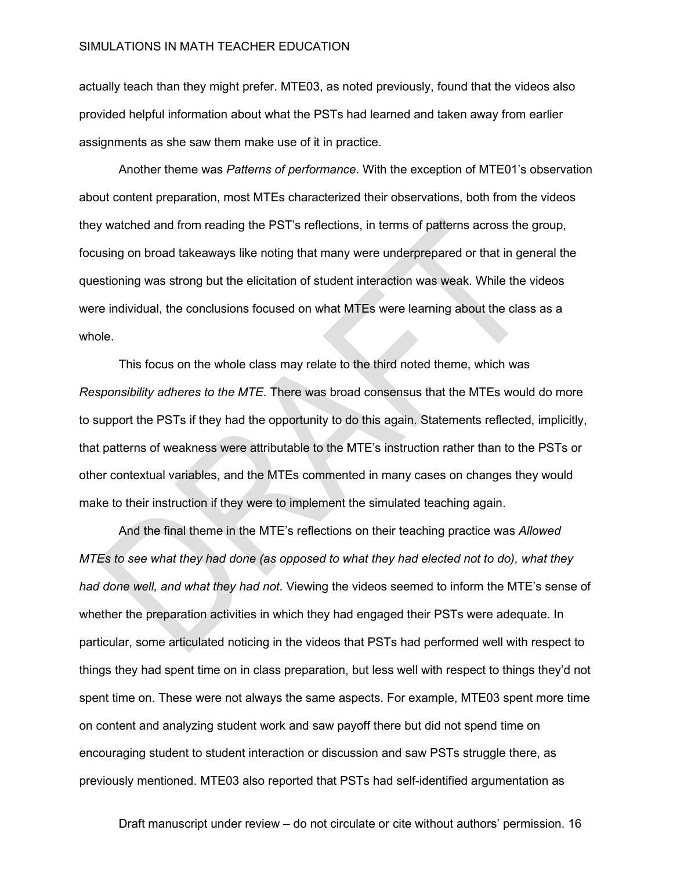actually teach than they might prefer. MTE03, as noted previously, found that the videos also provided helpful information about what the PSTs had learned and taken away from earlier assignments as she saw them make use of it in practice.

Another theme was *Patterns of performance*. With the exception of MTE01's observation about content preparation, most MTEs characterized their observations, both from the videos they watched and from reading the PST's reflections, in terms of patterns across the group, focusing on broad takeaways like noting that many were underprepared or that in general the questioning was strong but the elicitation of student interaction was weak. While the videos were individual, the conclusions focused on what MTEs were learning about the class as a whole.

This focus on the whole class may relate to the third noted theme, which was *Responsibility adheres to the MTE*. There was broad consensus that the MTEs would do more to support the PSTs if they had the opportunity to do this again. Statements reflected, implicitly, that patterns of weakness were attributable to the MTE's instruction rather than to the PSTs or other contextual variables, and the MTEs commented in many cases on changes they would make to their instruction if they were to implement the simulated teaching again.

And the final theme in the MTE's reflections on their teaching practice was *Allowed MTEs to see what they had done (as opposed to what they had elected not to do), what they had done well, and what they had not*. Viewing the videos seemed to inform the MTE's sense of whether the preparation activities in which they had engaged their PSTs were adequate. In particular, some articulated noticing in the videos that PSTs had performed well with respect to things they had spent time on in class preparation, but less well with respect to things they'd not spent time on. These were not always the same aspects. For example, MTE03 spent more time on content and analyzing student work and saw payoff there but did not spend time on encouraging student to student interaction or discussion and saw PSTs struggle there, as previously mentioned. MTE03 also reported that PSTs had self-identified argumentation as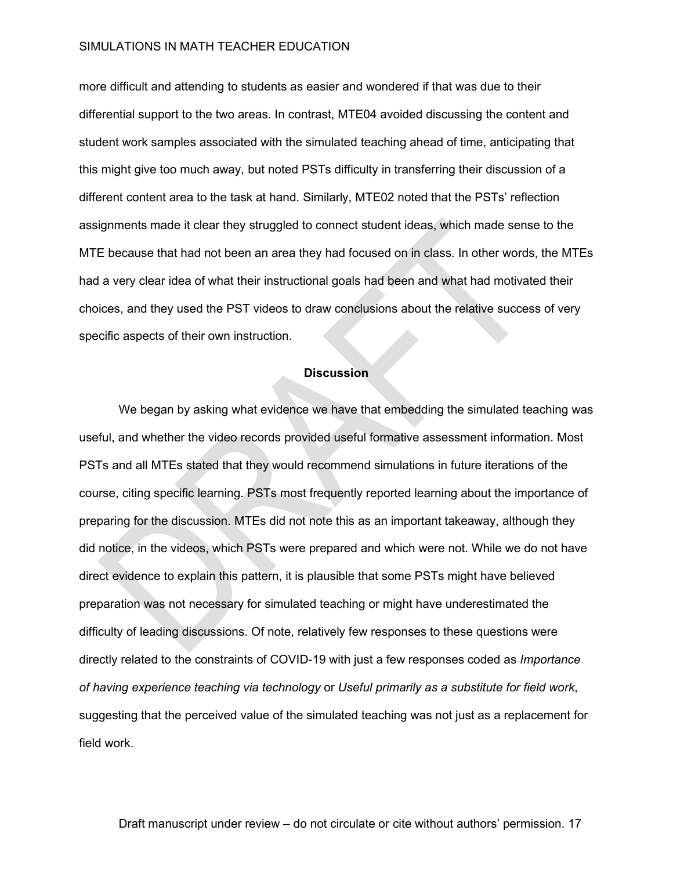more difficult and attending to students as easier and wondered if that was due to their differential support to the two areas. In contrast, MTE04 avoided discussing the content and student work samples associated with the simulated teaching ahead of time, anticipating that this might give too much away, but noted PSTs difficulty in transferring their discussion of a different content area to the task at hand. Similarly, MTE02 noted that the PSTs' reflection assignments made it clear they struggled to connect student ideas, which made sense to the MTE because that had not been an area they had focused on in class. In other words, the MTEs had a very clear idea of what their instructional goals had been and what had motivated their choices, and they used the PST videos to draw conclusions about the relative success of very specific aspects of their own instruction.

#### **Discussion**

We began by asking what evidence we have that embedding the simulated teaching was useful, and whether the video records provided useful formative assessment information. Most PSTs and all MTEs stated that they would recommend simulations in future iterations of the course, citing specific learning. PSTs most frequently reported learning about the importance of preparing for the discussion. MTEs did not note this as an important takeaway, although they did notice, in the videos, which PSTs were prepared and which were not. While we do not have direct evidence to explain this pattern, it is plausible that some PSTs might have believed preparation was not necessary for simulated teaching or might have underestimated the difficulty of leading discussions. Of note, relatively few responses to these questions were directly related to the constraints of COVID-19 with just a few responses coded as *Importance of having experience teaching via technology* or *Useful primarily as a substitute for field work*, suggesting that the perceived value of the simulated teaching was not just as a replacement for field work.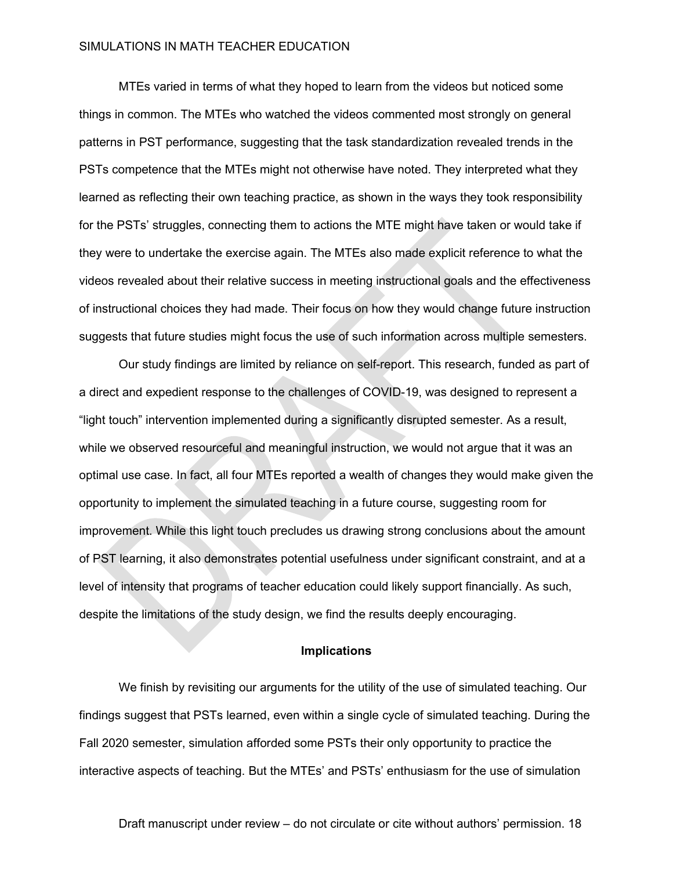MTEs varied in terms of what they hoped to learn from the videos but noticed some things in common. The MTEs who watched the videos commented most strongly on general patterns in PST performance, suggesting that the task standardization revealed trends in the PSTs competence that the MTEs might not otherwise have noted. They interpreted what they learned as reflecting their own teaching practice, as shown in the ways they took responsibility for the PSTs' struggles, connecting them to actions the MTE might have taken or would take if they were to undertake the exercise again. The MTEs also made explicit reference to what the videos revealed about their relative success in meeting instructional goals and the effectiveness of instructional choices they had made. Their focus on how they would change future instruction suggests that future studies might focus the use of such information across multiple semesters.

Our study findings are limited by reliance on self-report. This research, funded as part of a direct and expedient response to the challenges of COVID-19, was designed to represent a "light touch" intervention implemented during a significantly disrupted semester. As a result, while we observed resourceful and meaningful instruction, we would not argue that it was an optimal use case. In fact, all four MTEs reported a wealth of changes they would make given the opportunity to implement the simulated teaching in a future course, suggesting room for improvement. While this light touch precludes us drawing strong conclusions about the amount of PST learning, it also demonstrates potential usefulness under significant constraint, and at a level of intensity that programs of teacher education could likely support financially. As such, despite the limitations of the study design, we find the results deeply encouraging.

#### **Implications**

We finish by revisiting our arguments for the utility of the use of simulated teaching. Our findings suggest that PSTs learned, even within a single cycle of simulated teaching. During the Fall 2020 semester, simulation afforded some PSTs their only opportunity to practice the interactive aspects of teaching. But the MTEs' and PSTs' enthusiasm for the use of simulation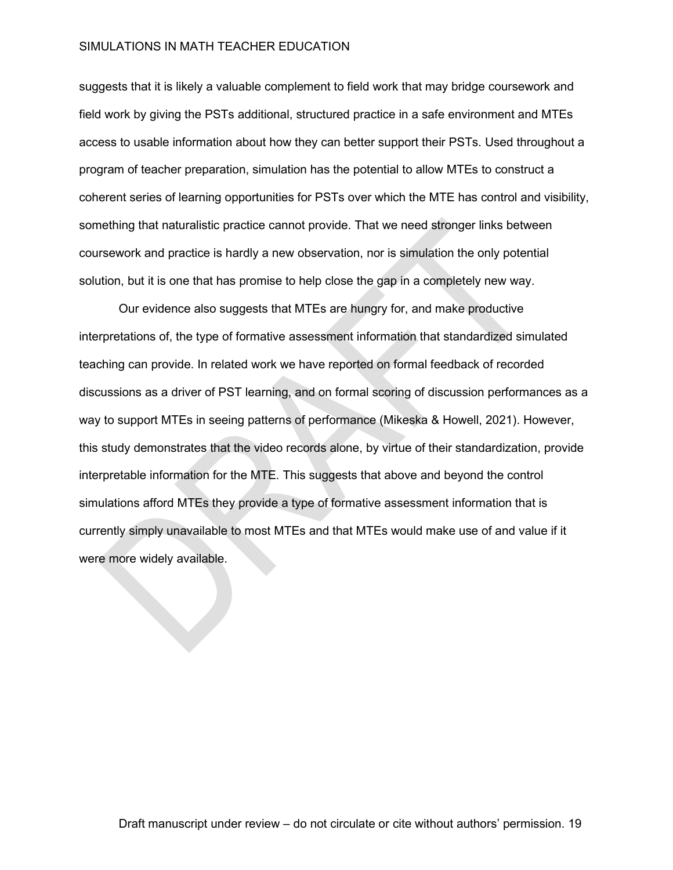suggests that it is likely a valuable complement to field work that may bridge coursework and field work by giving the PSTs additional, structured practice in a safe environment and MTEs access to usable information about how they can better support their PSTs. Used throughout a program of teacher preparation, simulation has the potential to allow MTEs to construct a coherent series of learning opportunities for PSTs over which the MTE has control and visibility, something that naturalistic practice cannot provide. That we need stronger links between coursework and practice is hardly a new observation, nor is simulation the only potential solution, but it is one that has promise to help close the gap in a completely new way.

Our evidence also suggests that MTEs are hungry for, and make productive interpretations of, the type of formative assessment information that standardized simulated teaching can provide. In related work we have reported on formal feedback of recorded discussions as a driver of PST learning, and on formal scoring of discussion performances as a way to support MTEs in seeing patterns of performance (Mikeska & Howell, 2021). However, this study demonstrates that the video records alone, by virtue of their standardization, provide interpretable information for the MTE. This suggests that above and beyond the control simulations afford MTEs they provide a type of formative assessment information that is currently simply unavailable to most MTEs and that MTEs would make use of and value if it were more widely available.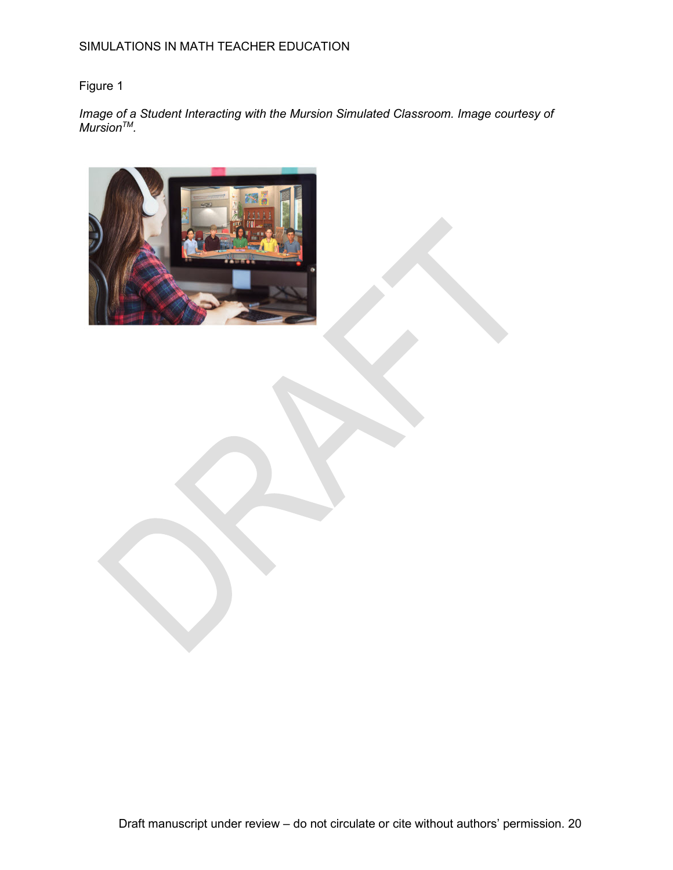# Figure 1

Image of a Student Interacting with the Mursion Simulated Classroom. Image courtesy of *MursionTM.* 

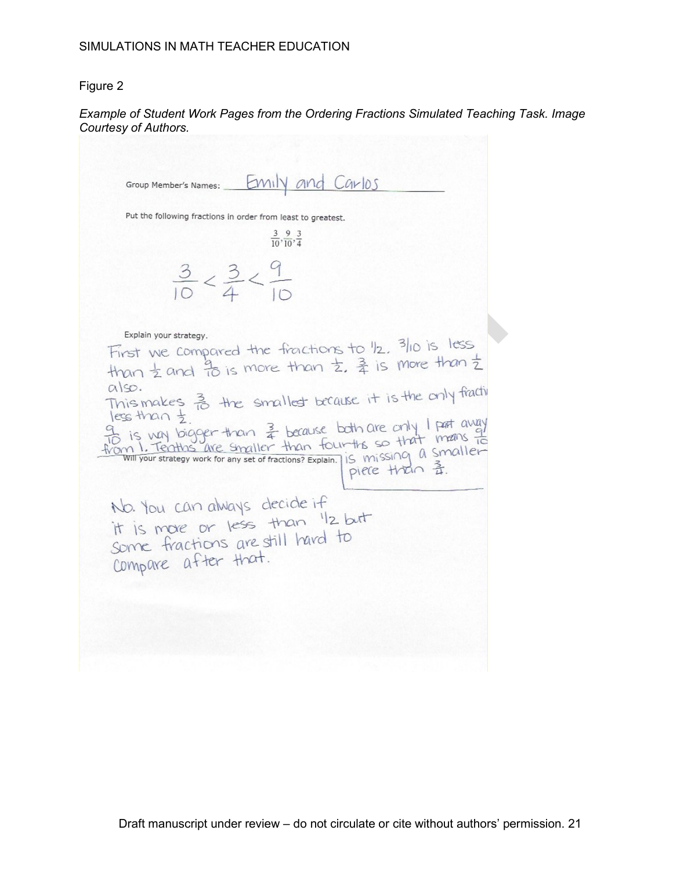## Figure 2

## *Example of Student Work Pages from the Ordering Fractions Simulated Teaching Task. Image Courtesy of Authors.*

Emily and Carlos Group Member's Names: Put the following fractions in order from least to greatest.  $\frac{3}{10}, \frac{9}{10}, \frac{3}{4}$  $\frac{3}{10} < \frac{3}{4} < \frac{9}{10}$ Explain your strategy. Explain your strategy.<br>First we compared the fractions to 1/2, 3/10 is less<br>than  $\frac{1}{2}$  and  $\frac{1}{10}$  is more than  $\frac{1}{2}$ ,  $\frac{3}{4}$  is more than  $\frac{1}{2}$  $a$ so. also.<br>This makes  $\frac{3}{10}$  the smallest because it is the only fractive less than t To is van bigger than  $\frac{3}{4}$  because both are only I part away<br>To is van bigger than  $\frac{3}{4}$  because both are only I part away<br>from 1. Teaths are smaller than four-ths so that means to piece than 系. No. You can always decide if No. You can aways decide it<br>it is more or less than "Iz but<br>some fractions are still hard to compare after that.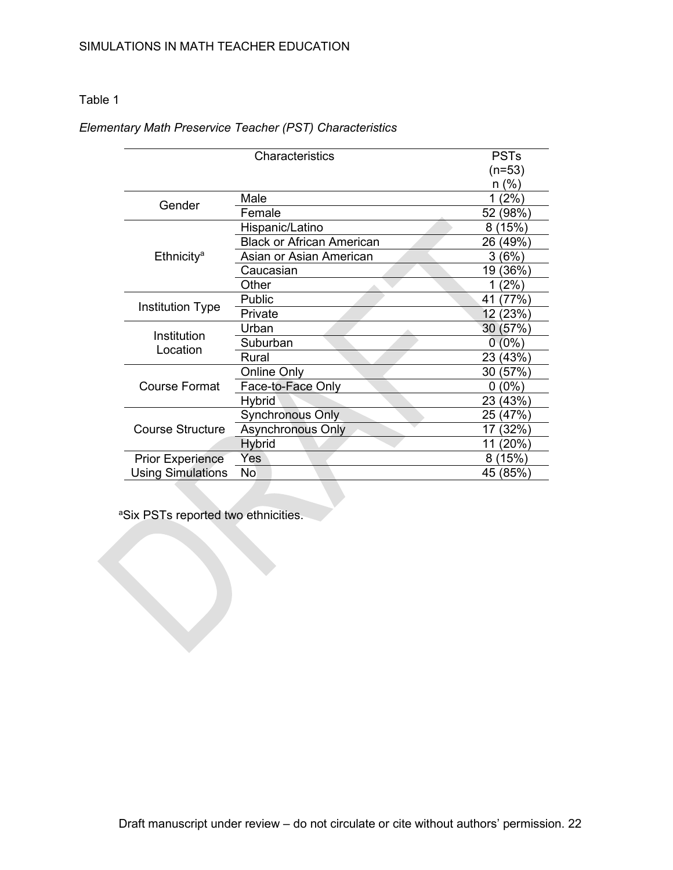# Table 1

# *Elementary Math Preservice Teacher (PST) Characteristics*

| Characteristics          |                                  | <b>PSTs</b>      |
|--------------------------|----------------------------------|------------------|
|                          |                                  | $(n=53)$         |
|                          |                                  | (%)<br>n         |
| Gender                   | Male                             | 2%<br>1          |
|                          | Female                           | (98%<br>52       |
| Ethnicity <sup>a</sup>   | Hispanic/Latino                  | (15%)<br>8       |
|                          | <b>Black or African American</b> | 26<br>(49%)      |
|                          | Asian or Asian American          | (6%)<br>3        |
|                          | Caucasian                        | 19 (36%)         |
|                          | Other                            | $^{\prime}2\%$ ) |
| <b>Institution Type</b>  | Public                           | 77%<br>41        |
|                          | Private                          | 12<br>(23%)      |
| Institution<br>Location  | Urban                            | (57%)<br>30      |
|                          | Suburban                         | $(0\%)$<br>0     |
|                          | Rural                            | (43%)<br>23      |
| Course Format            | <b>Online Only</b>               | (57%)<br>30      |
|                          | Face-to-Face Only                | $(0\%)$<br>0     |
|                          | Hybrid                           | 23<br>(43%)      |
| Course Structure         | <b>Synchronous Only</b>          | (47%)<br>25      |
|                          | <b>Asynchronous Only</b>         | 32%<br>17        |
|                          | Hybrid                           | 20%<br>11        |
| <b>Prior Experience</b>  | Yes                              | (15%)<br>8       |
| <b>Using Simulations</b> | No                               | 45 (85%)         |

a Six PSTs reported two ethnicities.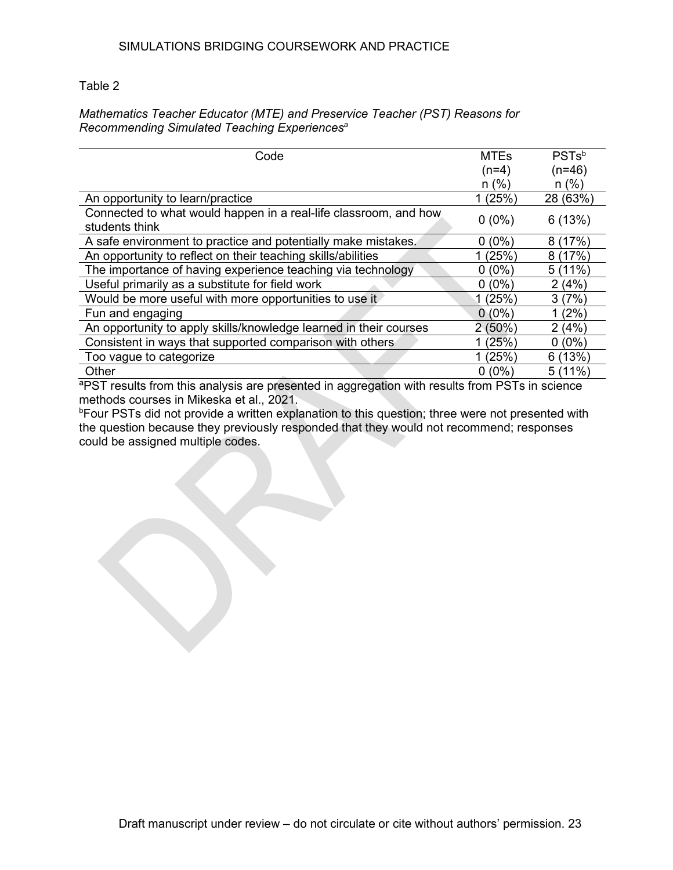# Table 2

## *Mathematics Teacher Educator (MTE) and Preservice Teacher (PST) Reasons for Recommending Simulated Teaching Experiences<sup>a</sup>*

| Code                                                                               | <b>MTEs</b> | PSTs <sup>b</sup> |
|------------------------------------------------------------------------------------|-------------|-------------------|
|                                                                                    | $(n=4)$     | $(n=46)$          |
|                                                                                    | $n$ (%)     | $n$ (%)           |
| An opportunity to learn/practice                                                   | 1(25%)      | 28 (63%)          |
| Connected to what would happen in a real-life classroom, and how<br>students think | $0(0\%)$    | 6(13%)            |
| A safe environment to practice and potentially make mistakes.                      | $0(0\%)$    | (17%)<br>8        |
| An opportunity to reflect on their teaching skills/abilities                       | (25%)       | (17%)<br>8        |
| The importance of having experience teaching via technology                        | $0(0\%)$    | 5(11%)            |
| Useful primarily as a substitute for field work                                    | $0(0\%)$    | 2(4%)             |
| Would be more useful with more opportunities to use it                             | 1(25%)      | 3(7%)             |
| Fun and engaging                                                                   | $0(0\%)$    | (2%)              |
| An opportunity to apply skills/knowledge learned in their courses                  | 2(50%)      | 2(4%)             |
| Consistent in ways that supported comparison with others                           | (25%)       | $(0\%)$<br>0      |
| Too vague to categorize                                                            | 1(25%)      | 6(13%)            |
| Other                                                                              | $0(0\%)$    | 5(11%)            |

ªPST results from this analysis are presented in aggregation with results from PSTs in science methods courses in Mikeska et al., 2021.

b Four PSTs did not provide a written explanation to this question; three were not presented with the question because they previously responded that they would not recommend; responses could be assigned multiple codes.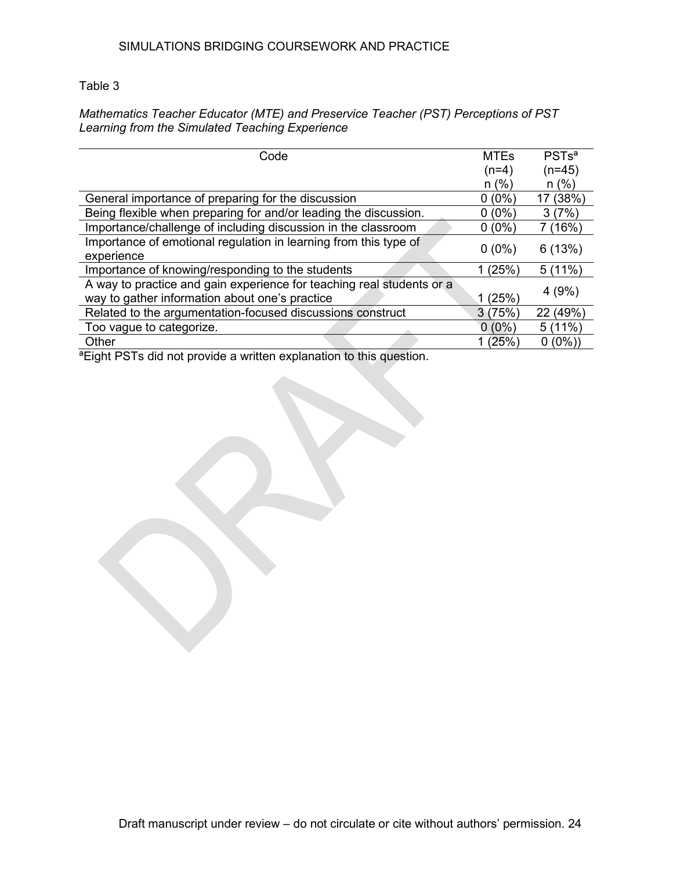# Table 3

# *Mathematics Teacher Educator (MTE) and Preservice Teacher (PST) Perceptions of PST Learning from the Simulated Teaching Experience*

| Code                                                                  |          | PSTs <sup>a</sup> |
|-----------------------------------------------------------------------|----------|-------------------|
|                                                                       | $(n=4)$  | $(n=45)$          |
|                                                                       | $n (\%)$ | n(%)              |
| General importance of preparing for the discussion                    |          | 17 (38%)          |
| Being flexible when preparing for and/or leading the discussion.      | $0(0\%)$ | 3(7%)             |
| Importance/challenge of including discussion in the classroom         | $0(0\%)$ | (16%)             |
| Importance of emotional regulation in learning from this type of      |          | 6(13%)            |
| experience                                                            |          |                   |
| Importance of knowing/responding to the students                      | 1(25%)   | 5(11%)            |
| A way to practice and gain experience for teaching real students or a |          |                   |
| way to gather information about one's practice                        | (25%)    | 4(9%)             |
| Related to the argumentation-focused discussions construct            |          | 22 (49%)          |
| Too vague to categorize.                                              | $0(0\%)$ | 5(11%)            |
| Other                                                                 | 1 (25%`  | $0(0\%)$          |

<sup>a</sup> Eight PSTs did not provide a written explanation to this question.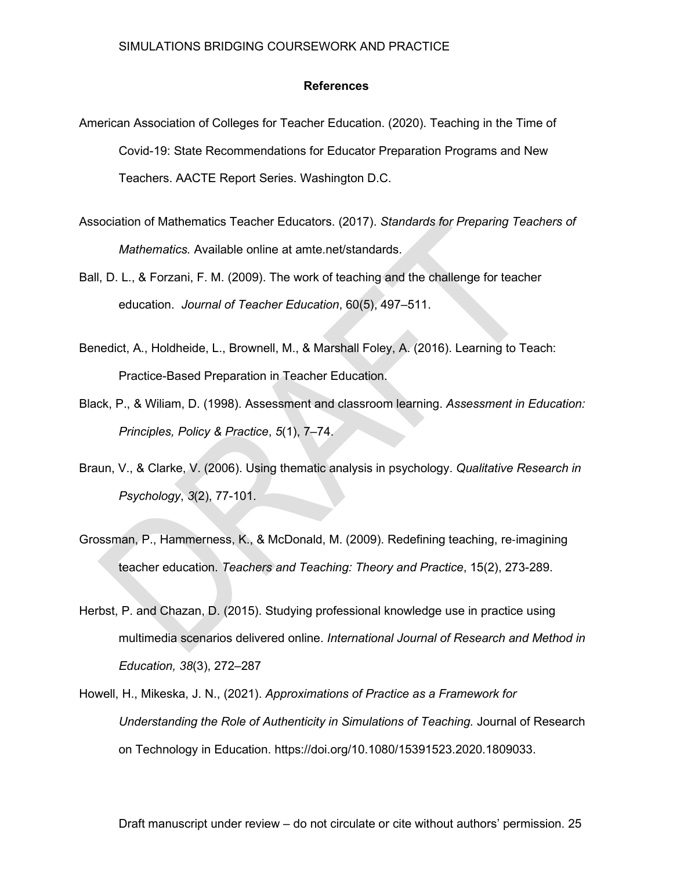#### **References**

- American Association of Colleges for Teacher Education. (2020). Teaching in the Time of Covid-19: State Recommendations for Educator Preparation Programs and New Teachers. AACTE Report Series. Washington D.C.
- Association of Mathematics Teacher Educators. (2017). *Standards for Preparing Teachers of Mathematics.* Available online at amte.net/standards.
- Ball, D. L., & Forzani, F. M. (2009). The work of teaching and the challenge for teacher education. *Journal of Teacher Education*, 60(5), 497–511.
- Benedict, A., Holdheide, L., Brownell, M., & Marshall Foley, A. (2016). Learning to Teach: Practice-Based Preparation in Teacher Education.
- Black, P., & Wiliam, D. (1998). Assessment and classroom learning. *Assessment in Education: Principles, Policy & Practice*, *5*(1), 7–74.
- Braun, V., & Clarke, V. (2006). Using thematic analysis in psychology. *Qualitative Research in Psychology*, *3*(2), 77-101.
- Grossman, P., Hammerness, K., & McDonald, M. (2009). Redefining teaching, re‐imagining teacher education. *Teachers and Teaching: Theory and Practice*, 15(2), 273-289.
- Herbst, P. and Chazan, D. (2015). Studying professional knowledge use in practice using multimedia scenarios delivered online. *International Journal of Research and Method in Education, 38*(3), 272–287
- Howell, H., Mikeska, J. N., (2021). *Approximations of Practice as a Framework for Understanding the Role of Authenticity in Simulations of Teaching.* Journal of Research on Technology in Education. https://doi.org/10.1080/15391523.2020.1809033.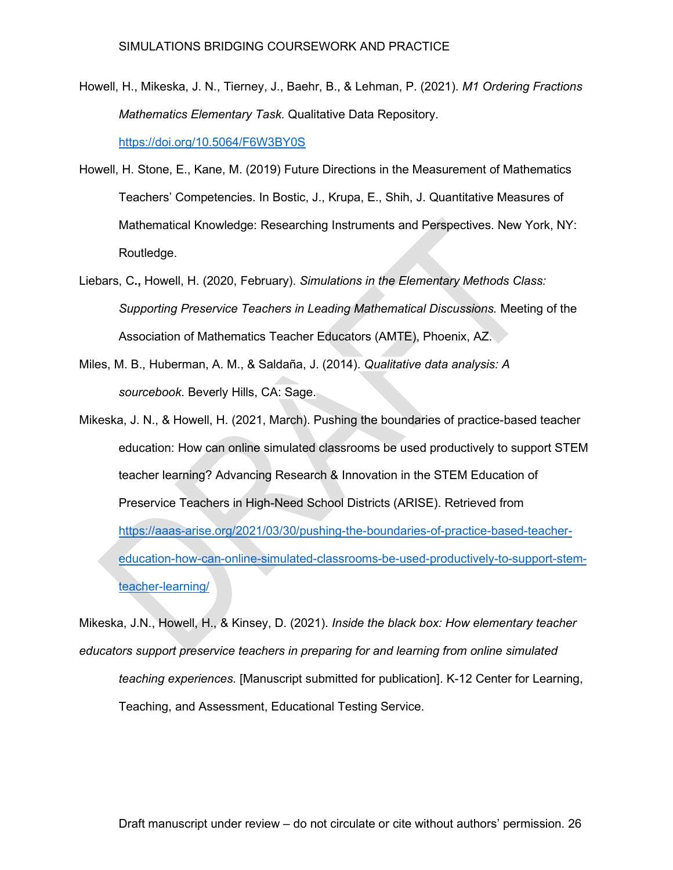- Howell, H., Mikeska, J. N., Tierney, J., Baehr, B., & Lehman, P. (2021). *M1 Ordering Fractions Mathematics Elementary Task.* Qualitative Data Repository. <https://doi.org/10.5064/F6W3BY0S>
- Howell, H. Stone, E., Kane, M. (2019) Future Directions in the Measurement of Mathematics Teachers' Competencies. In Bostic, J., Krupa, E., Shih, J. Quantitative Measures of Mathematical Knowledge: Researching Instruments and Perspectives. New York, NY: Routledge.
- Liebars, C**.,** Howell, H. (2020, February). *Simulations in the Elementary Methods Class: Supporting Preservice Teachers in Leading Mathematical Discussions.* Meeting of the Association of Mathematics Teacher Educators (AMTE), Phoenix, AZ.
- Miles, M. B., Huberman, A. M., & Saldaña, J. (2014). *Qualitative data analysis: A sourcebook*. Beverly Hills, CA: Sage.
- Mikeska, J. N., & Howell, H. (2021, March). Pushing the boundaries of practice-based teacher education: How can online simulated classrooms be used productively to support STEM teacher learning? Advancing Research & Innovation in the STEM Education of Preservice Teachers in High-Need School Districts (ARISE). Retrieved from [https://aaas-arise.org/2021/03/30/pushing-the-boundaries-of-practice-based-teacher](https://aaas-arise.org/2021/03/30/pushing-the-boundaries-of-practice-based-teacher-education-how-can-online-simulated-classrooms-be-used-productively-to-support-stem-teacher-learning/)[education-how-can-online-simulated-classrooms-be-used-productively-to-support-stem](https://aaas-arise.org/2021/03/30/pushing-the-boundaries-of-practice-based-teacher-education-how-can-online-simulated-classrooms-be-used-productively-to-support-stem-teacher-learning/)[teacher-learning/](https://aaas-arise.org/2021/03/30/pushing-the-boundaries-of-practice-based-teacher-education-how-can-online-simulated-classrooms-be-used-productively-to-support-stem-teacher-learning/)

Mikeska, J.N., Howell, H., & Kinsey, D. (2021). *Inside the black box: How elementary teacher educators support preservice teachers in preparing for and learning from online simulated teaching experiences.* [Manuscript submitted for publication]. K-12 Center for Learning, Teaching, and Assessment, Educational Testing Service.